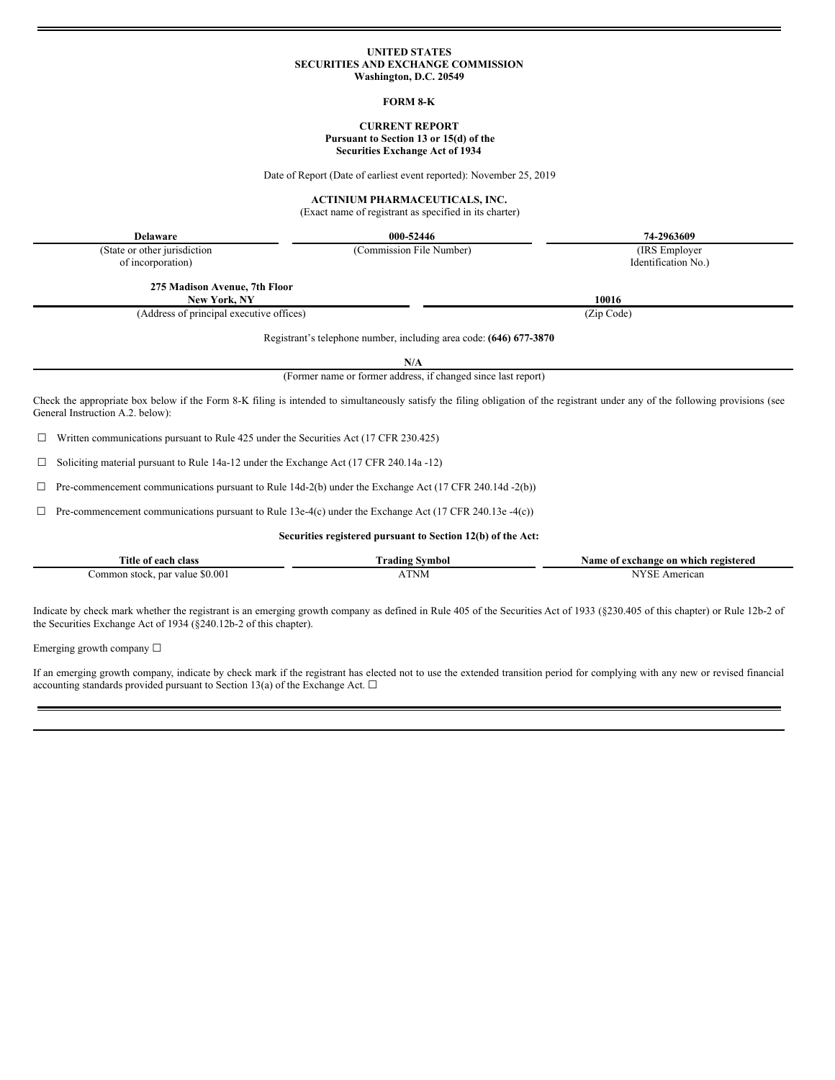# **UNITED STATES SECURITIES AND EXCHANGE COMMISSION Washington, D.C. 20549**

### **FORM 8-K**

# **CURRENT REPORT Pursuant to Section 13 or 15(d) of the Securities Exchange Act of 1934**

Date of Report (Date of earliest event reported): November 25, 2019

## **ACTINIUM PHARMACEUTICALS, INC.**

(Exact name of registrant as specified in its charter)

**Delaware 000-52446 74-2963609**

(Commission File Number) (IRS Employer

(State or other jurisdiction of incorporation)

**275 Madison Avenue, 7th Floor**

**New York, NY 10016**

(Address of principal executive offices) (Zip Code)

Registrant's telephone number, including area code: **(646) 677-3870**

**N/A**

(Former name or former address, if changed since last report)

Check the appropriate box below if the Form 8-K filing is intended to simultaneously satisfy the filing obligation of the registrant under any of the following provisions (see General Instruction A.2. below):

 $\Box$  Written communications pursuant to Rule 425 under the Securities Act (17 CFR 230.425)

☐ Soliciting material pursuant to Rule 14a-12 under the Exchange Act (17 CFR 240.14a -12)

☐ Pre-commencement communications pursuant to Rule 14d-2(b) under the Exchange Act (17 CFR 240.14d -2(b))

☐ Pre-commencement communications pursuant to Rule 13e-4(c) under the Exchange Act (17 CFR 240.13e -4(c))

### **Securities registered pursuant to Section 12(b) of the Act:**

| Title of<br>class<br>each                | radıng<br>Nymbor - | vame<br>registered<br>exchange on :<br>which<br>oт |  |
|------------------------------------------|--------------------|----------------------------------------------------|--|
| \$0.00<br>. par value<br>ommon<br>stock. | TND.<br>INIV1      | <b>IXZOT</b><br>American<br>ъ.                     |  |

Indicate by check mark whether the registrant is an emerging growth company as defined in Rule 405 of the Securities Act of 1933 (§230.405 of this chapter) or Rule 12b-2 of the Securities Exchange Act of 1934 (§240.12b-2 of this chapter).

Emerging growth company  $\Box$ 

If an emerging growth company, indicate by check mark if the registrant has elected not to use the extended transition period for complying with any new or revised financial accounting standards provided pursuant to Section 13(a) of the Exchange Act.  $\square$ 

Identification No.)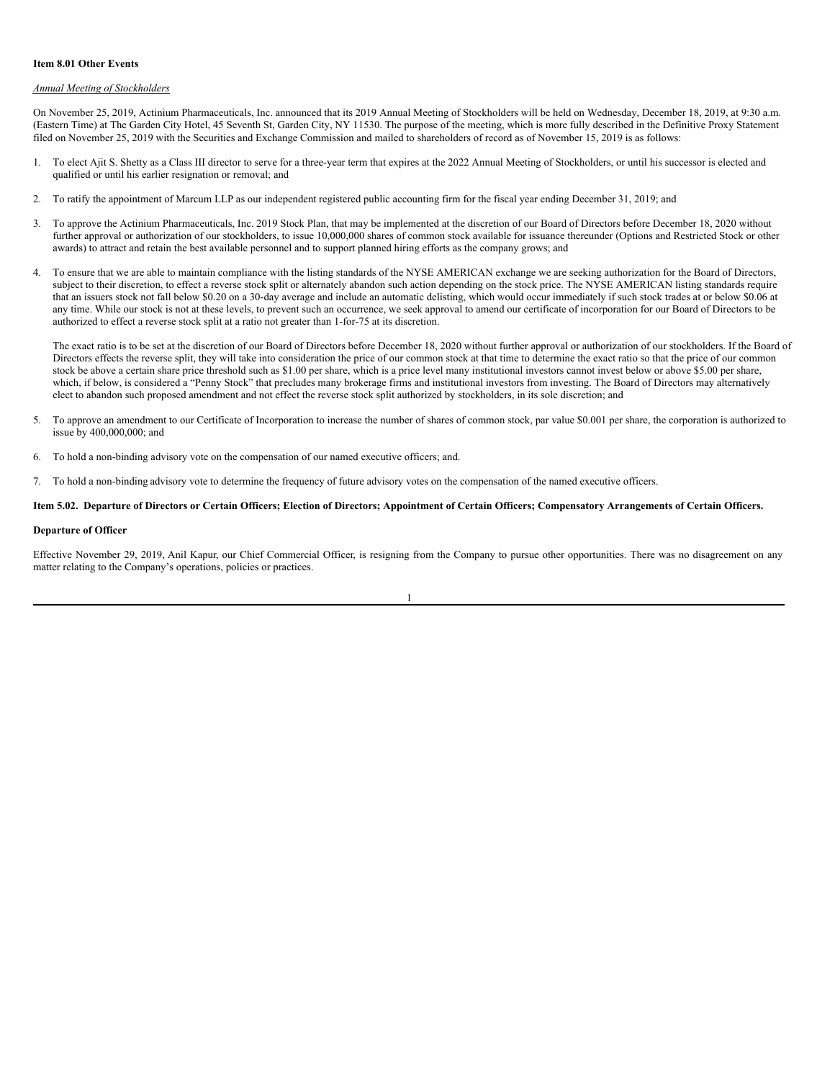#### **Item 8.01 Other Events**

## *Annual Meeting of Stockholders*

On November 25, 2019, Actinium Pharmaceuticals, Inc. announced that its 2019 Annual Meeting of Stockholders will be held on Wednesday, December 18, 2019, at 9:30 a.m. (Eastern Time) at The Garden City Hotel, 45 Seventh St, Garden City, NY 11530. The purpose of the meeting, which is more fully described in the Definitive Proxy Statement filed on November 25, 2019 with the Securities and Exchange Commission and mailed to shareholders of record as of November 15, 2019 is as follows:

- 1. To elect Ajit S. Shetty as a Class III director to serve for a three-year term that expires at the 2022 Annual Meeting of Stockholders, or until his successor is elected and qualified or until his earlier resignation or removal; and
- 2. To ratify the appointment of Marcum LLP as our independent registered public accounting firm for the fiscal year ending December 31, 2019; and
- 3. To approve the Actinium Pharmaceuticals, Inc. 2019 Stock Plan, that may be implemented at the discretion of our Board of Directors before December 18, 2020 without further approval or authorization of our stockholders, to issue 10,000,000 shares of common stock available for issuance thereunder (Options and Restricted Stock or other awards) to attract and retain the best available personnel and to support planned hiring efforts as the company grows; and
- 4. To ensure that we are able to maintain compliance with the listing standards of the NYSE AMERICAN exchange we are seeking authorization for the Board of Directors, subject to their discretion, to effect a reverse stock split or alternately abandon such action depending on the stock price. The NYSE AMERICAN listing standards require that an issuers stock not fall below \$0.20 on a 30-day average and include an automatic delisting, which would occur immediately if such stock trades at or below \$0.06 at any time. While our stock is not at these levels, to prevent such an occurrence, we seek approval to amend our certificate of incorporation for our Board of Directors to be authorized to effect a reverse stock split at a ratio not greater than 1-for-75 at its discretion.

The exact ratio is to be set at the discretion of our Board of Directors before December 18, 2020 without further approval or authorization of our stockholders. If the Board of Directors effects the reverse split, they will take into consideration the price of our common stock at that time to determine the exact ratio so that the price of our common stock be above a certain share price threshold such as \$1.00 per share, which is a price level many institutional investors cannot invest below or above \$5.00 per share, which, if below, is considered a "Penny Stock" that precludes many brokerage firms and institutional investors from investing. The Board of Directors may alternatively elect to abandon such proposed amendment and not effect the reverse stock split authorized by stockholders, in its sole discretion; and

- 5. To approve an amendment to our Certificate of Incorporation to increase the number of shares of common stock, par value \$0.001 per share, the corporation is authorized to issue by 400,000,000; and
- 6. To hold a non-binding advisory vote on the compensation of our named executive officers; and.
- 7. To hold a non-binding advisory vote to determine the frequency of future advisory votes on the compensation of the named executive officers.

#### Item 5.02. Departure of Directors or Certain Officers; Election of Directors; Appointment of Certain Officers; Compensatory Arrangements of Certain Officers.

## **Departure of Officer**

Effective November 29, 2019, Anil Kapur, our Chief Commercial Officer, is resigning from the Company to pursue other opportunities. There was no disagreement on any matter relating to the Company's operations, policies or practices.

|  | c |  |
|--|---|--|